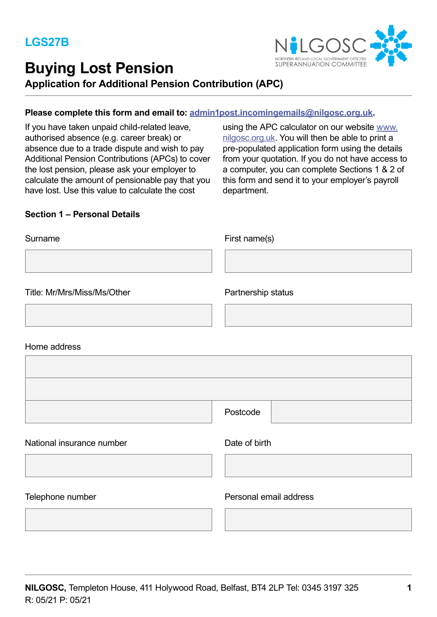

# **Buying Lost Pension**

**Application for Additional Pension Contribution (APC)** 

### **Please complete this form and email to: admin1post.incomingemails@nilgosc.org.uk.**

If you have taken unpaid child-related leave, authorised absence (e.g. career break) or absence due to a trade dispute and wish to pay Additional Pension Contributions (APCs) to cover the lost pension, please ask your employer to calculate the amount of pensionable pay that you have lost. Use this value to calculate the cost

using the APC calculator on our website www. nilgosc.org.uk. You will then be able to print a pre-populated application form using the details from your quotation. If you do not have access to a computer, you can complete Sections 1 & 2 of this form and send it to your employer's payroll department.

#### **Section 1 – Personal Details**

| Surname                     | First name(s)      |
|-----------------------------|--------------------|
|                             |                    |
| Title: Mr/Mrs/Miss/Ms/Other | Partnership status |
|                             |                    |
| Home address                |                    |
|                             |                    |
|                             |                    |
|                             | Postcode           |

#### National insurance number **Date of birth**

Telephone number **Personal email address**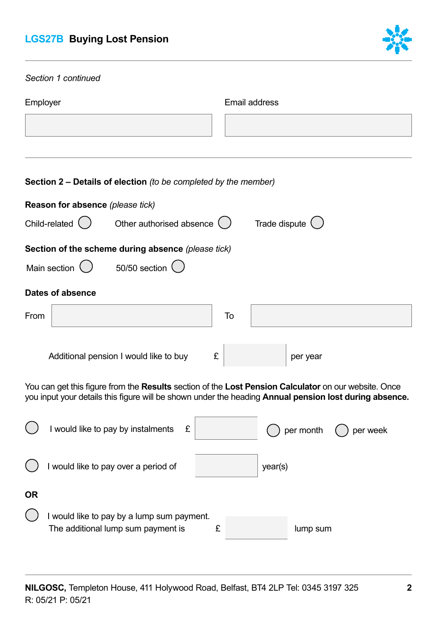## **LGS27B Buying Lost Pension**

 $($  )

 $\bigcap$ 

**OR** 



| Section 1 continued                                                                                                                                                                                            |                       |  |
|----------------------------------------------------------------------------------------------------------------------------------------------------------------------------------------------------------------|-----------------------|--|
| Employer                                                                                                                                                                                                       | <b>Email address</b>  |  |
|                                                                                                                                                                                                                |                       |  |
|                                                                                                                                                                                                                |                       |  |
| <b>Section 2 – Details of election</b> (to be completed by the member)                                                                                                                                         |                       |  |
| Reason for absence (please tick)                                                                                                                                                                               |                       |  |
| Child-related $($<br>Other authorised absence $( )$                                                                                                                                                            | Trade dispute $($     |  |
| Section of the scheme during absence (please tick)                                                                                                                                                             |                       |  |
| Main section<br>$50/50$ section $($                                                                                                                                                                            |                       |  |
| <b>Dates of absence</b>                                                                                                                                                                                        |                       |  |
| From                                                                                                                                                                                                           | To                    |  |
| Additional pension I would like to buy<br>£                                                                                                                                                                    | per year              |  |
| You can get this figure from the Results section of the Lost Pension Calculator on our website. Once<br>you input your details this figure will be shown under the heading Annual pension lost during absence. |                       |  |
| I would like to pay by instalments<br>£                                                                                                                                                                        | per month<br>per week |  |

The additional lump sum payment is  $\mathbb{E}$   $\mathbb{E}$   $\mathbb{E}$  lump sum

I would like to pay over a period of year(s)

I would like to pay by a lump sum payment.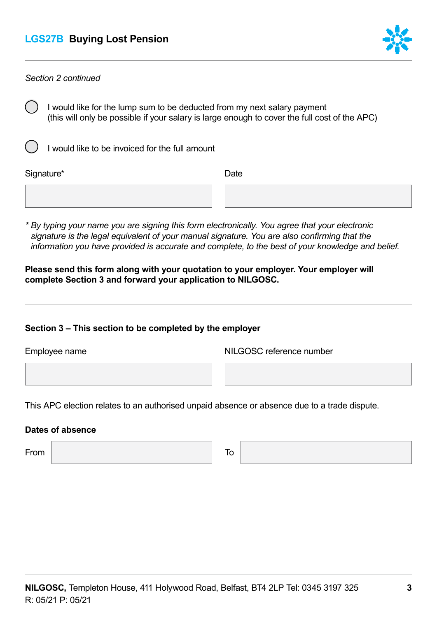### **LGS27B Buying Lost Pension**



#### *Section 2 continued*

 $\overline{a}$ I would like for the lump sum to be deducted from my next salary payment (this will only be possible if your salary is large enough to cover the full cost of the APC)

I. I would like to be invoiced for the full amount

Signature\* Date **Date** 

*\* By typing your name you are signing this form electronically. You agree that your electronic signature is the legal equivalent of your manual signature. You are also confirming that the information you have provided is accurate and complete, to the best of your knowledge and belief.* 

**Please send this form along with your quotation to your employer. Your employer will complete Section 3 and forward your application to NILGOSC.** 

#### **Section 3 – This section to be completed by the employer**

Employee name **NILGOSC** reference number

This APC election relates to an authorised unpaid absence or absence due to a trade dispute.

#### **Dates of absence**

From To the contract of the contract of the contract of the contract of the contract of the contract of the contract of the contract of the contract of the contract of the contract of the contract of the contract of the co